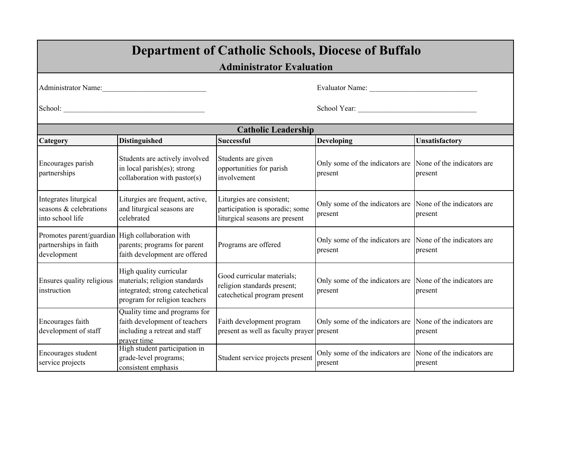| <b>Department of Catholic Schools, Diocese of Buffalo</b>                                |                                                                                                                              |                                                                                                |                                                                       |                |  |  |
|------------------------------------------------------------------------------------------|------------------------------------------------------------------------------------------------------------------------------|------------------------------------------------------------------------------------------------|-----------------------------------------------------------------------|----------------|--|--|
|                                                                                          | <b>Administrator Evaluation</b>                                                                                              |                                                                                                |                                                                       |                |  |  |
|                                                                                          | Administrator Name:                                                                                                          |                                                                                                |                                                                       |                |  |  |
|                                                                                          |                                                                                                                              |                                                                                                | School Year:                                                          |                |  |  |
|                                                                                          |                                                                                                                              | <b>Catholic Leadership</b>                                                                     |                                                                       |                |  |  |
| Category                                                                                 | <b>Distinguished</b>                                                                                                         | <b>Successful</b>                                                                              | <b>Developing</b>                                                     | Unsatisfactory |  |  |
| Encourages parish<br>partnerships                                                        | Students are actively involved<br>in local parish(es); strong<br>collaboration with pastor(s)                                | Students are given<br>opportunities for parish<br>involvement                                  | Only some of the indicators are None of the indicators are<br>present | present        |  |  |
| Integrates liturgical<br>seasons & celebrations<br>into school life                      | Liturgies are frequent, active,<br>and liturgical seasons are<br>celebrated                                                  | Liturgies are consistent;<br>participation is sporadic; some<br>liturgical seasons are present | Only some of the indicators are None of the indicators are<br>present | present        |  |  |
| Promotes parent/guardian High collaboration with<br>partnerships in faith<br>development | parents; programs for parent<br>faith development are offered                                                                | Programs are offered                                                                           | Only some of the indicators are None of the indicators are<br>present | present        |  |  |
| Ensures quality religious<br>instruction                                                 | High quality curricular<br>materials; religion standards<br>integrated; strong catechetical<br>program for religion teachers | Good curricular materials;<br>religion standards present;<br>catechetical program present      | Only some of the indicators are None of the indicators are<br>present | present        |  |  |
| Encourages faith<br>development of staff                                                 | Quality time and programs for<br>faith development of teachers<br>including a retreat and staff<br>prayer time               | Faith development program<br>present as well as faculty prayer present                         | Only some of the indicators are None of the indicators are            | present        |  |  |
| Encourages student<br>service projects                                                   | High student participation in<br>grade-level programs;<br>consistent emphasis                                                | Student service projects present                                                               | Only some of the indicators are None of the indicators are<br>present | present        |  |  |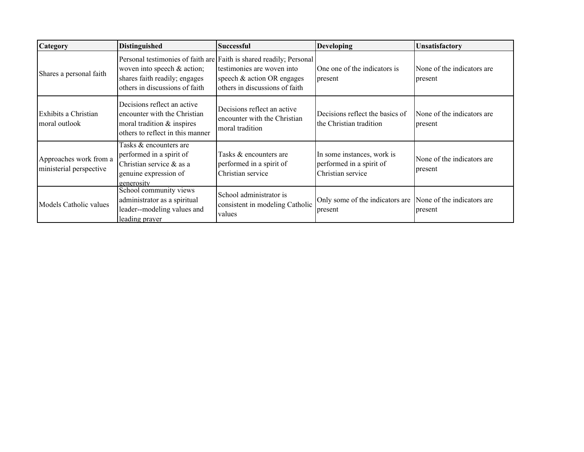| <b>Category</b>                                   | <b>Distinguished</b>                                                                                                          | <b>Successful</b>                                                                                                                                                 | Developing                                                                  | Unsatisfactory                         |
|---------------------------------------------------|-------------------------------------------------------------------------------------------------------------------------------|-------------------------------------------------------------------------------------------------------------------------------------------------------------------|-----------------------------------------------------------------------------|----------------------------------------|
| Shares a personal faith                           | woven into speech & action;<br>shares faith readily; engages<br>others in discussions of faith                                | Personal testimonies of faith are Faith is shared readily; Personal<br>testimonies are woven into<br>speech & action OR engages<br>others in discussions of faith | One one of the indicators is<br>present                                     | None of the indicators are.<br>present |
| Exhibits a Christian<br>moral outlook             | Decisions reflect an active<br>encounter with the Christian<br>moral tradition & inspires<br>others to reflect in this manner | Decisions reflect an active<br>encounter with the Christian<br>moral tradition                                                                                    | Decisions reflect the basics of<br>the Christian tradition                  | None of the indicators are<br>present  |
| Approaches work from a<br>ministerial perspective | Tasks & encounters are<br>performed in a spirit of<br>Christian service & as a<br>genuine expression of<br>generosity         | Tasks & encounters are<br>performed in a spirit of<br>Christian service                                                                                           | In some instances, work is<br>performed in a spirit of<br>Christian service | None of the indicators are<br>present  |
| Models Catholic values                            | School community views<br>administrator as a spiritual<br>leader--modeling values and<br>leading prayer                       | School administrator is<br>consistent in modeling Catholic<br>values                                                                                              | Only some of the indicators are None of the indicators are<br>present       | present                                |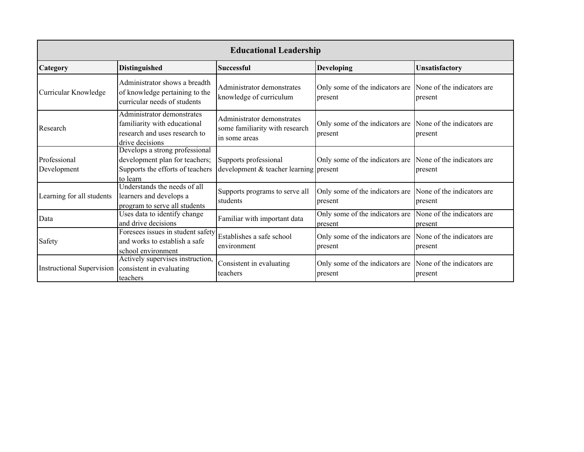| <b>Educational Leadership</b>    |                                                                                                                  |                                                                               |                                                                       |                                       |
|----------------------------------|------------------------------------------------------------------------------------------------------------------|-------------------------------------------------------------------------------|-----------------------------------------------------------------------|---------------------------------------|
| Category                         | <b>Distinguished</b>                                                                                             | <b>Successful</b>                                                             | <b>Developing</b>                                                     | Unsatisfactory                        |
| Curricular Knowledge             | Administrator shows a breadth<br>of knowledge pertaining to the<br>curricular needs of students                  | Administrator demonstrates<br>knowledge of curriculum                         | Only some of the indicators are None of the indicators are<br>present | present                               |
| Research                         | Administrator demonstrates<br>familiarity with educational<br>research and uses research to<br>drive decisions   | Administrator demonstrates<br>some familiarity with research<br>in some areas | Only some of the indicators are None of the indicators are<br>present | present                               |
| Professional<br>Development      | Develops a strong professional<br>development plan for teachers;<br>Supports the efforts of teachers<br>to learn | Supports professional<br>development & teacher learning present               | Only some of the indicators are None of the indicators are            | present                               |
| Learning for all students        | Understands the needs of all<br>learners and develops a<br>program to serve all students                         | Supports programs to serve all<br>students                                    | Only some of the indicators are None of the indicators are<br>present | present                               |
| Data                             | Uses data to identify change<br>and drive decisions                                                              | Familiar with important data                                                  | Only some of the indicators are<br>present                            | None of the indicators are<br>present |
| Safety                           | Foresees issues in student safety<br>and works to establish a safe<br>school environment                         | Establishes a safe school<br>environment                                      | Only some of the indicators are<br>present                            | None of the indicators are<br>present |
| <b>Instructional Supervision</b> | Actively supervises instruction,<br>consistent in evaluating<br>teachers                                         | Consistent in evaluating<br>teachers                                          | Only some of the indicators are None of the indicators are<br>present | present                               |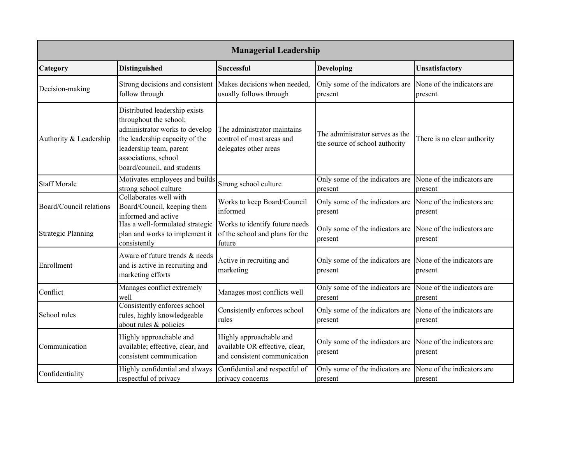| <b>Managerial Leadership</b> |                                                                                                                                                                                                               |                                                                                           |                                                                       |                                       |
|------------------------------|---------------------------------------------------------------------------------------------------------------------------------------------------------------------------------------------------------------|-------------------------------------------------------------------------------------------|-----------------------------------------------------------------------|---------------------------------------|
| Category                     | <b>Distinguished</b>                                                                                                                                                                                          | <b>Successful</b>                                                                         | <b>Developing</b>                                                     | Unsatisfactory                        |
| Decision-making              | Strong decisions and consistent<br>follow through                                                                                                                                                             | Makes decisions when needed,<br>usually follows through                                   | Only some of the indicators are<br>present                            | None of the indicators are<br>present |
| Authority & Leadership       | Distributed leadership exists<br>throughout the school;<br>administrator works to develop<br>the leadership capacity of the<br>leadership team, parent<br>associations, school<br>board/council, and students | The administrator maintains<br>control of most areas and<br>delegates other areas         | The administrator serves as the<br>the source of school authority     | There is no clear authority           |
| <b>Staff Morale</b>          | Motivates employees and builds<br>strong school culture                                                                                                                                                       | Strong school culture                                                                     | Only some of the indicators are<br>present                            | None of the indicators are<br>present |
| Board/Council relations      | Collaborates well with<br>Board/Council, keeping them<br>informed and active                                                                                                                                  | Works to keep Board/Council<br>informed                                                   | Only some of the indicators are<br>present                            | None of the indicators are<br>present |
| <b>Strategic Planning</b>    | Has a well-formulated strategic<br>plan and works to implement it<br>consistently                                                                                                                             | Works to identify future needs<br>of the school and plans for the<br>future               | Only some of the indicators are<br>present                            | None of the indicators are<br>present |
| Enrollment                   | Aware of future trends & needs<br>and is active in recruiting and<br>marketing efforts                                                                                                                        | Active in recruiting and<br>marketing                                                     | Only some of the indicators are<br>present                            | None of the indicators are<br>present |
| Conflict                     | Manages conflict extremely<br>well                                                                                                                                                                            | Manages most conflicts well                                                               | Only some of the indicators are<br>present                            | None of the indicators are<br>present |
| School rules                 | Consistently enforces school<br>rules, highly knowledgeable<br>about rules & policies                                                                                                                         | Consistently enforces school<br>rules                                                     | Only some of the indicators are<br>present                            | None of the indicators are<br>present |
| Communication                | Highly approachable and<br>available; effective, clear, and<br>consistent communication                                                                                                                       | Highly approachable and<br>available OR effective, clear,<br>and consistent communication | Only some of the indicators are None of the indicators are<br>present | present                               |
| Confidentiality              | Highly confidential and always<br>respectful of privacy                                                                                                                                                       | Confidential and respectful of<br>privacy concerns                                        | Only some of the indicators are None of the indicators are<br>present | present                               |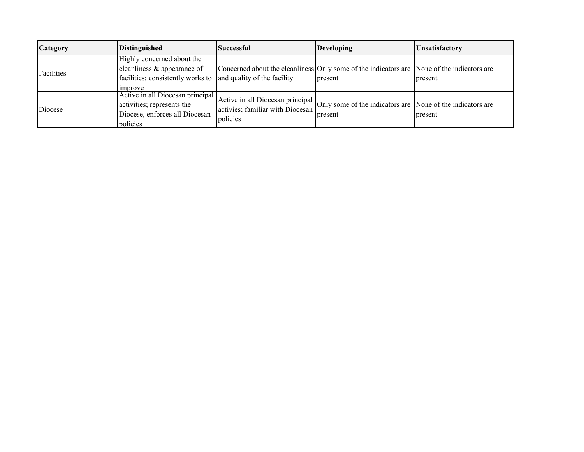| <b>Category</b> | <b>Distinguished</b>                                                                                                                            | <b>Successful</b>                                                                | <b>Developing</b>                                                                                     | <b>Unsatisfactory</b> |
|-----------------|-------------------------------------------------------------------------------------------------------------------------------------------------|----------------------------------------------------------------------------------|-------------------------------------------------------------------------------------------------------|-----------------------|
| Facilities      | Highly concerned about the<br>cleanliness $\&$ appearance of<br>facilities; consistently works to and quality of the facility<br><i>improve</i> |                                                                                  | Concerned about the cleanliness Only some of the indicators are None of the indicators are<br>present | present               |
| Diocese         | Active in all Diocesan principal<br>activities; represents the<br>Diocese, enforces all Diocesan<br>policies                                    | Active in all Diocesan principal<br>activies; familiar with Diocesan<br>policies | Only some of the indicators are None of the indicators are<br>present                                 | present               |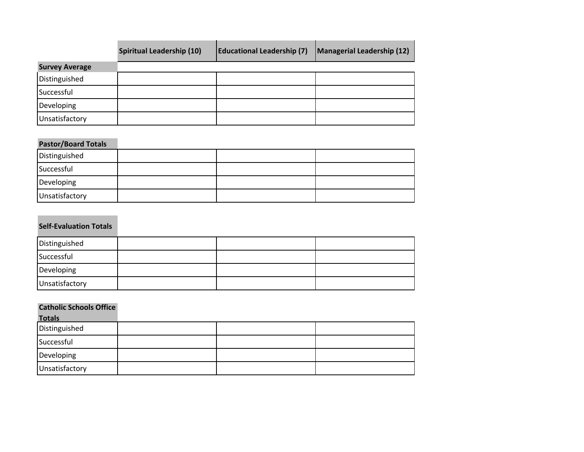|                       | <b>Spiritual Leadership (10)</b> | <b>Educational Leadership (7)</b> | Managerial Leadership (12) |
|-----------------------|----------------------------------|-----------------------------------|----------------------------|
| <b>Survey Average</b> |                                  |                                   |                            |
| Distinguished         |                                  |                                   |                            |
| Successful            |                                  |                                   |                            |
| Developing            |                                  |                                   |                            |
| Unsatisfactory        |                                  |                                   |                            |

## **Pastor/Board Totals**

| Distinguished  |  |  |
|----------------|--|--|
| Successful     |  |  |
| Developing     |  |  |
| Unsatisfactory |  |  |

## **Self‐Evaluation Totals**

| Distinguished  |  |  |
|----------------|--|--|
| Successful     |  |  |
| Developing     |  |  |
| Unsatisfactory |  |  |

## **Catholic Schools Office**

| <b>Totals</b>  |  |  |
|----------------|--|--|
| Distinguished  |  |  |
| Successful     |  |  |
| Developing     |  |  |
| Unsatisfactory |  |  |